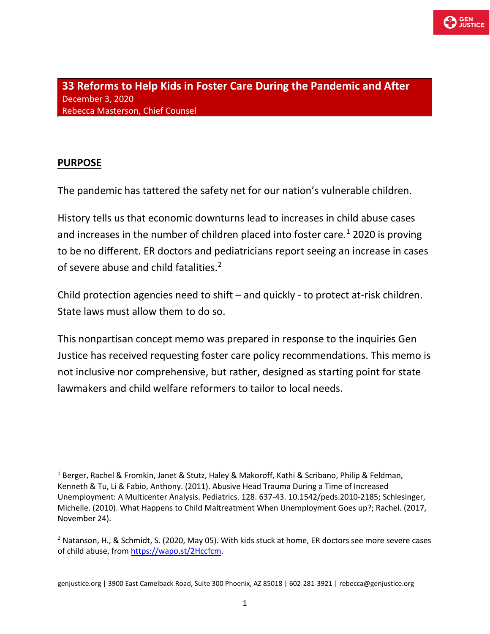

**33 Reforms to Help Kids in Foster Care During the Pandemic and After** December 3, 2020 Rebecca Masterson, Chief Counsel

#### **PURPOSE**

The pandemic has tattered the safety net for our nation's vulnerable children.

History tells us that economic downturns lead to increases in child abuse cases and increases in the number of children placed into foster care. [1](#page-0-0) 2020 is proving to be no different. ER doctors and pediatricians report seeing an increase in cases of severe abuse and child fatalities.<sup>[2](#page-0-1)</sup>

Child protection agencies need to shift – and quickly - to protect at-risk children. State laws must allow them to do so.

This nonpartisan concept memo was prepared in response to the inquiries Gen Justice has received requesting foster care policy recommendations. This memo is not inclusive nor comprehensive, but rather, designed as starting point for state lawmakers and child welfare reformers to tailor to local needs.

<span id="page-0-0"></span><sup>1</sup> Berger, Rachel & Fromkin, Janet & Stutz, Haley & Makoroff, Kathi & Scribano, Philip & Feldman, Kenneth & Tu, Li & Fabio, Anthony. (2011). Abusive Head Trauma During a Time of Increased Unemployment: A Multicenter Analysis. Pediatrics. 128. 637-43. 10.1542/peds.2010-2185; Schlesinger, Michelle. (2010). What Happens to Child Maltreatment When Unemployment Goes up?; Rachel. (2017, November 24).

<span id="page-0-1"></span> $<sup>2</sup>$  Natanson, H., & Schmidt, S. (2020, May 05). With kids stuck at home, ER doctors see more severe cases</sup> of child abuse, from [https://wapo.st/2Hccfcm.](https://wapo.st/2Hccfcm)

genjustice.org | 3900 East Camelback Road, Suite 300 Phoenix, AZ 85018 | 602-281-3921 | rebecca@genjustice.org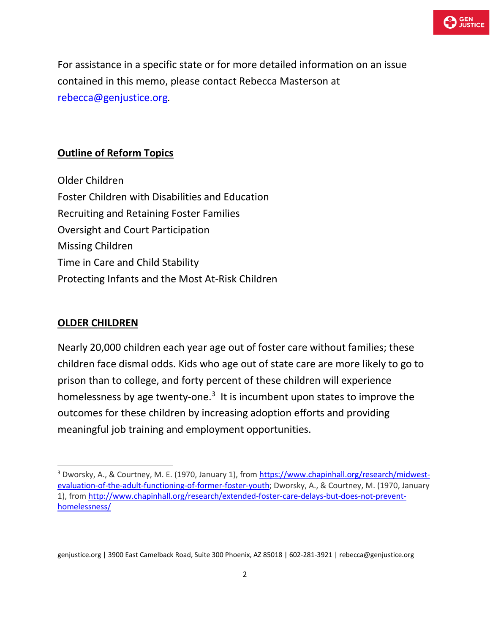

For assistance in a specific state or for more detailed information on an issue contained in this memo, please contact Rebecca Masterson at [rebecca@genjustice.org](mailto:rebecca@genjustice.org)*.*

#### **Outline of Reform Topics**

Older Children Foster Children with Disabilities and Education Recruiting and Retaining Foster Families Oversight and Court Participation Missing Children Time in Care and Child Stability Protecting Infants and the Most At-Risk Children

### **OLDER CHILDREN**

Nearly 20,000 children each year age out of foster care without families; these children face dismal odds. Kids who age out of state care are more likely to go to prison than to college, and forty percent of these children will experience homelessness by age twenty-one.<sup>[3](#page-1-0)</sup> It is incumbent upon states to improve the outcomes for these children by increasing adoption efforts and providing meaningful job training and employment opportunities.

<span id="page-1-0"></span><sup>3</sup> Dworsky, A., & Courtney, M. E. (1970, January 1), from [https://www.chapinhall.org/research/midwest](https://www.chapinhall.org/research/midwest-evaluation-of-the-adult-functioning-of-former-foster-youth)[evaluation-of-the-adult-functioning-of-former-foster-youth;](https://www.chapinhall.org/research/midwest-evaluation-of-the-adult-functioning-of-former-foster-youth) Dworsky, A., & Courtney, M. (1970, January 1), from [http://www.chapinhall.org/research/extended-foster-care-delays-but-does-not-prevent](http://www.chapinhall.org/research/extended-foster-care-delays-but-does-not-prevent-homelessness/)[homelessness/](http://www.chapinhall.org/research/extended-foster-care-delays-but-does-not-prevent-homelessness/)

genjustice.org | 3900 East Camelback Road, Suite 300 Phoenix, AZ 85018 | 602-281-3921 | rebecca@genjustice.org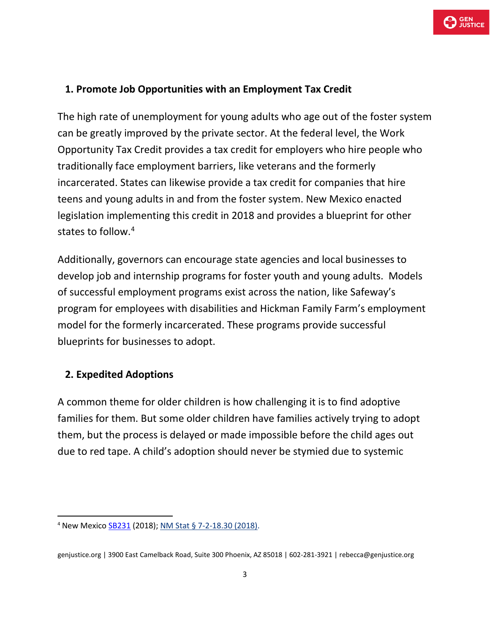# **1. Promote Job Opportunities with an Employment Tax Credit**

The high rate of unemployment for young adults who age out of the foster system can be greatly improved by the private sector. At the federal level, the Work Opportunity Tax Credit provides a tax credit for employers who hire people who traditionally face employment barriers, like veterans and the formerly incarcerated. States can likewise provide a tax credit for companies that hire teens and young adults in and from the foster system. New Mexico enacted legislation implementing this credit in 2018 and provides a blueprint for other states to follow. [4](#page-2-0)

Additionally, governors can encourage state agencies and local businesses to develop job and internship programs for foster youth and young adults. Models of successful employment programs exist across the nation, like Safeway's program for employees with disabilities and Hickman Family Farm's employment model for the formerly incarcerated. These programs provide successful blueprints for businesses to adopt.

# **2. Expedited Adoptions**

A common theme for older children is how challenging it is to find adoptive families for them. But some older children have families actively trying to adopt them, but the process is delayed or made impossible before the child ages out due to red tape. A child's adoption should never be stymied due to systemic

<span id="page-2-0"></span><sup>4</sup> New Mexic[o SB231](https://nmlegis.gov/Sessions/18%20Regular/bills/senate/SB0231.pdf) (2018); [NM Stat § 7-2-18.30 \(2018\).](https://law.justia.com/codes/new-mexico/2018/chapter-7/article-2/section-7-2-18.30/)

genjustice.org | 3900 East Camelback Road, Suite 300 Phoenix, AZ 85018 | 602-281-3921 | rebecca@genjustice.org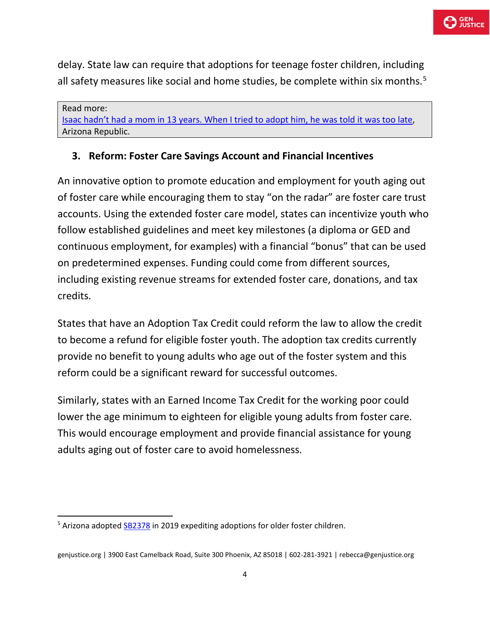delay. State law can require that adoptions for teenage foster children, including all safety measures like social and home studies, be complete within six months. $5$ 

Read more: [Isaac hadn't had a mom in 13 years. When I tried to adopt him, he was told it was too late,](https://www.azcentral.com/story/opinion/op-ed/2019/04/04/isaacs-law-would-expedite-adoption-arizona-teens/3347713002/) Arizona Republic.

# **3. Reform: Foster Care Savings Account and Financial Incentives**

An innovative option to promote education and employment for youth aging out of foster care while encouraging them to stay "on the radar" are foster care trust accounts. Using the extended foster care model, states can incentivize youth who follow established guidelines and meet key milestones (a diploma or GED and continuous employment, for examples) with a financial "bonus" that can be used on predetermined expenses. Funding could come from different sources, including existing revenue streams for extended foster care, donations, and tax credits.

States that have an Adoption Tax Credit could reform the law to allow the credit to become a refund for eligible foster youth. The adoption tax credits currently provide no benefit to young adults who age out of the foster system and this reform could be a significant reward for successful outcomes.

Similarly, states with an Earned Income Tax Credit for the working poor could lower the age minimum to eighteen for eligible young adults from foster care. This would encourage employment and provide financial assistance for young adults aging out of foster care to avoid homelessness.

<span id="page-3-0"></span><sup>&</sup>lt;sup>5</sup> Arizona adopted [SB2378](https://legiscan.com/AZ/text/HB2378/2019) in 2019 expediting adoptions for older foster children.

genjustice.org | 3900 East Camelback Road, Suite 300 Phoenix, AZ 85018 | 602-281-3921 | rebecca@genjustice.org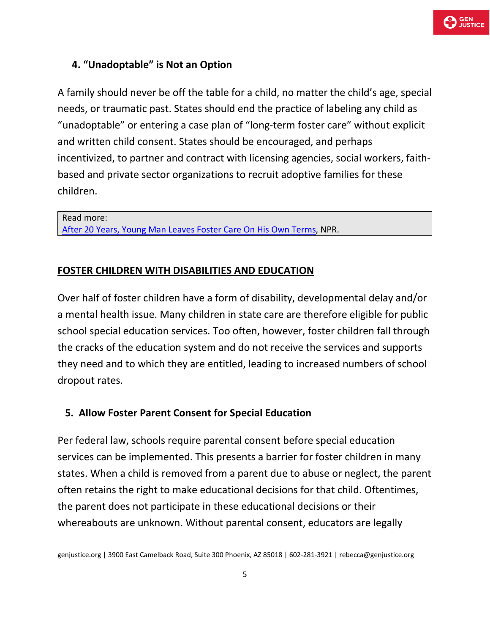

### **4. "Unadoptable" is Not an Option**

A family should never be off the table for a child, no matter the child's age, special needs, or traumatic past. States should end the practice of labeling any child as "unadoptable" or entering a case plan of "long-term foster care" without explicit and written child consent. States should be encouraged, and perhaps incentivized, to partner and contract with licensing agencies, social workers, faithbased and private sector organizations to recruit adoptive families for these children.

Read more:

[After 20 Years, Young Man Leaves Foster Care On His Own Terms,](https://www.npr.org/2017/01/11/508608745/after-20-years-young-man-leaves-foster-care-on-his-own-terms) NPR.

#### **FOSTER CHILDREN WITH DISABILITIES AND EDUCATION**

Over half of foster children have a form of disability, developmental delay and/or a mental health issue. Many children in state care are therefore eligible for public school special education services. Too often, however, foster children fall through the cracks of the education system and do not receive the services and supports they need and to which they are entitled, leading to increased numbers of school dropout rates.

#### **5. Allow Foster Parent Consent for Special Education**

Per federal law, schools require parental consent before special education services can be implemented. This presents a barrier for foster children in many states. When a child is removed from a parent due to abuse or neglect, the parent often retains the right to make educational decisions for that child. Oftentimes, the parent does not participate in these educational decisions or their whereabouts are unknown. Without parental consent, educators are legally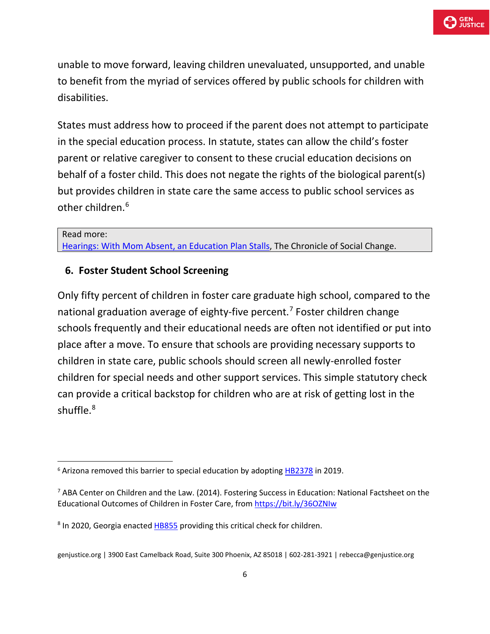unable to move forward, leaving children unevaluated, unsupported, and unable to benefit from the myriad of services offered by public schools for children with disabilities.

States must address how to proceed if the parent does not attempt to participate in the special education process. In statute, states can allow the child's foster parent or relative caregiver to consent to these crucial education decisions on behalf of a foster child. This does not negate the rights of the biological parent(s) but provides children in state care the same access to public school services as other children.[6](#page-5-0)

#### Read more:

[Hearings: With Mom Absent, an Education Plan Stalls,](https://imprintnews.org/child-welfare-2/hearings-with-mom-missing-in-action-an-education-plan-stalls/35375) The Chronicle of Social Change.

#### **6. Foster Student School Screening**

Only fifty percent of children in foster care graduate high school, compared to the national graduation average of eighty-five percent.<sup>[7](#page-5-1)</sup> Foster children change schools frequently and their educational needs are often not identified or put into place after a move. To ensure that schools are providing necessary supports to children in state care, public schools should screen all newly-enrolled foster children for special needs and other support services. This simple statutory check can provide a critical backstop for children who are at risk of getting lost in the shuffle.[8](#page-5-2)

<span id="page-5-0"></span><sup>&</sup>lt;sup>6</sup> Arizona removed this barrier to special education by adopting **[HB2378](https://legiscan.com/AZ/text/HB2378/2019)** in 2019.

<span id="page-5-1"></span><sup>&</sup>lt;sup>7</sup> ABA Center on Children and the Law. (2014). Fostering Success in Education: National Factsheet on the Educational Outcomes of Children in Foster Care, from<https://bit.ly/36OZNIw>

<span id="page-5-2"></span><sup>&</sup>lt;sup>8</sup> In 2020, Georgia enacte[d HB855](http://www.legis.ga.gov/Legislation/en-US/display/20192020/HB/855) providing this critical check for children.

genjustice.org | 3900 East Camelback Road, Suite 300 Phoenix, AZ 85018 | 602-281-3921 | rebecca@genjustice.org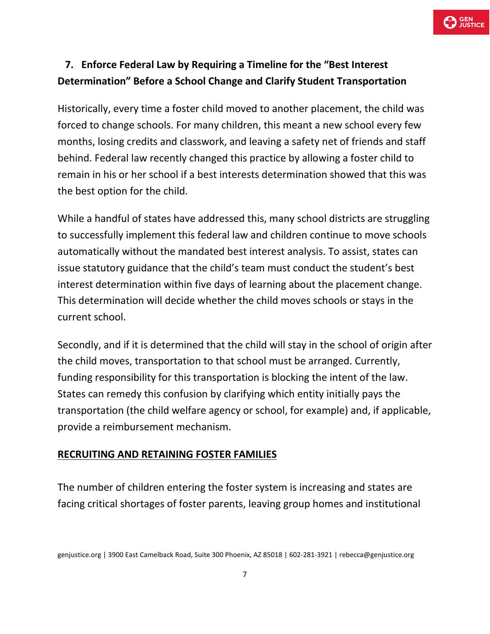

# **7. Enforce Federal Law by Requiring a Timeline for the "Best Interest Determination" Before a School Change and Clarify Student Transportation**

Historically, every time a foster child moved to another placement, the child was forced to change schools. For many children, this meant a new school every few months, losing credits and classwork, and leaving a safety net of friends and staff behind. Federal law recently changed this practice by allowing a foster child to remain in his or her school if a best interests determination showed that this was the best option for the child.

While a handful of states have addressed this, many school districts are struggling to successfully implement this federal law and children continue to move schools automatically without the mandated best interest analysis. To assist, states can issue statutory guidance that the child's team must conduct the student's best interest determination within five days of learning about the placement change. This determination will decide whether the child moves schools or stays in the current school.

Secondly, and if it is determined that the child will stay in the school of origin after the child moves, transportation to that school must be arranged. Currently, funding responsibility for this transportation is blocking the intent of the law. States can remedy this confusion by clarifying which entity initially pays the transportation (the child welfare agency or school, for example) and, if applicable, provide a reimbursement mechanism.

### **RECRUITING AND RETAINING FOSTER FAMILIES**

The number of children entering the foster system is increasing and states are facing critical shortages of foster parents, leaving group homes and institutional

genjustice.org | 3900 East Camelback Road, Suite 300 Phoenix, AZ 85018 | 602-281-3921 | rebecca@genjustice.org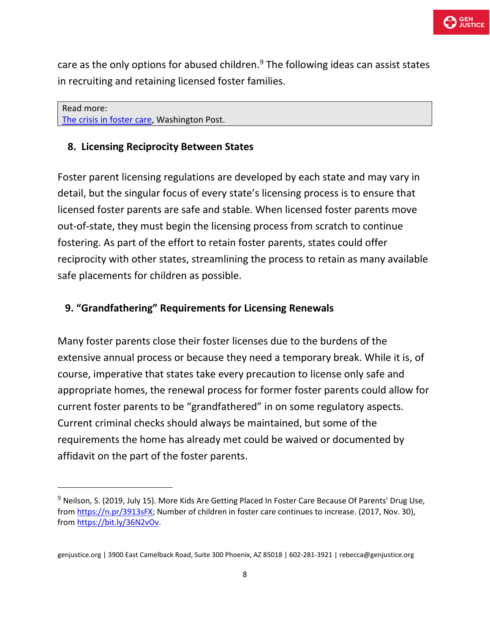care as the only options for abused children. $9$  The following ideas can assist states in recruiting and retaining licensed foster families.

Read more: [The crisis in foster care,](https://www.washingtonpost.com/opinions/the-crisis-in-foster-care/2020/01/11/81caa67e-33f6-11ea-a053-dc6d944ba776_story.html) Washington Post.

### **8. Licensing Reciprocity Between States**

Foster parent licensing regulations are developed by each state and may vary in detail, but the singular focus of every state's licensing process is to ensure that licensed foster parents are safe and stable. When licensed foster parents move out-of-state, they must begin the licensing process from scratch to continue fostering. As part of the effort to retain foster parents, states could offer reciprocity with other states, streamlining the process to retain as many available safe placements for children as possible.

### **9. "Grandfathering" Requirements for Licensing Renewals**

Many foster parents close their foster licenses due to the burdens of the extensive annual process or because they need a temporary break. While it is, of course, imperative that states take every precaution to license only safe and appropriate homes, the renewal process for former foster parents could allow for current foster parents to be "grandfathered" in on some regulatory aspects. Current criminal checks should always be maintained, but some of the requirements the home has already met could be waived or documented by affidavit on the part of the foster parents.

<span id="page-7-0"></span> $9$  Neilson, S. (2019, July 15). More Kids Are Getting Placed In Foster Care Because Of Parents' Drug Use, from [https://n.pr/3913sFX;](https://n.pr/3913sFX) Number of children in foster care continues to increase. (2017, Nov. 30), from [https://bit.ly/36N2vOv.](https://bit.ly/36N2vOv)

genjustice.org | 3900 East Camelback Road, Suite 300 Phoenix, AZ 85018 | 602-281-3921 | rebecca@genjustice.org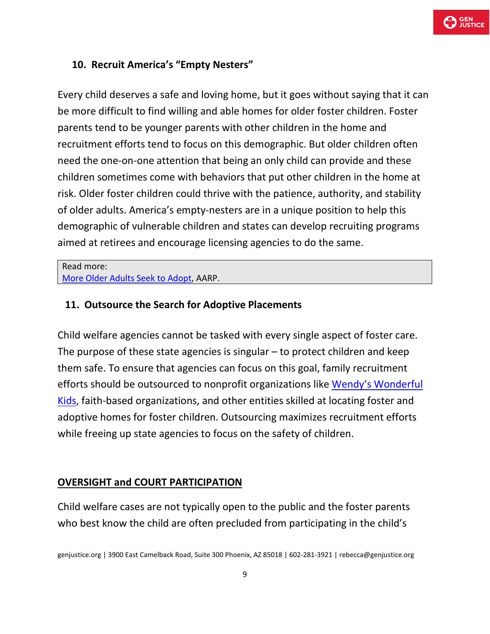

### **10. Recruit America's "Empty Nesters"**

Every child deserves a safe and loving home, but it goes without saying that it can be more difficult to find willing and able homes for older foster children. Foster parents tend to be younger parents with other children in the home and recruitment efforts tend to focus on this demographic. But older children often need the one-on-one attention that being an only child can provide and these children sometimes come with behaviors that put other children in the home at risk. Older foster children could thrive with the patience, authority, and stability of older adults. America's empty-nesters are in a unique position to help this demographic of vulnerable children and states can develop recruiting programs aimed at retirees and encourage licensing agencies to do the same.

Read more: [More Older Adults Seek to Adopt,](https://www.aarp.org/relationships/friends-family/info-06-2011/more-older-adults-seek-to-adopt.html) AARP.

#### **11. Outsource the Search for Adoptive Placements**

Child welfare agencies cannot be tasked with every single aspect of foster care. The purpose of these state agencies is singular – to protect children and keep them safe. To ensure that agencies can focus on this goal, family recruitment efforts should be outsourced to nonprofit organizations like [Wendy's Wonderful](https://www.davethomasfoundation.org/our-programs/wendys-wonderful-kids/)  [Kids,](https://www.davethomasfoundation.org/our-programs/wendys-wonderful-kids/) faith-based organizations, and other entities skilled at locating foster and adoptive homes for foster children. Outsourcing maximizes recruitment efforts while freeing up state agencies to focus on the safety of children.

#### **OVERSIGHT and COURT PARTICIPATION**

Child welfare cases are not typically open to the public and the foster parents who best know the child are often precluded from participating in the child's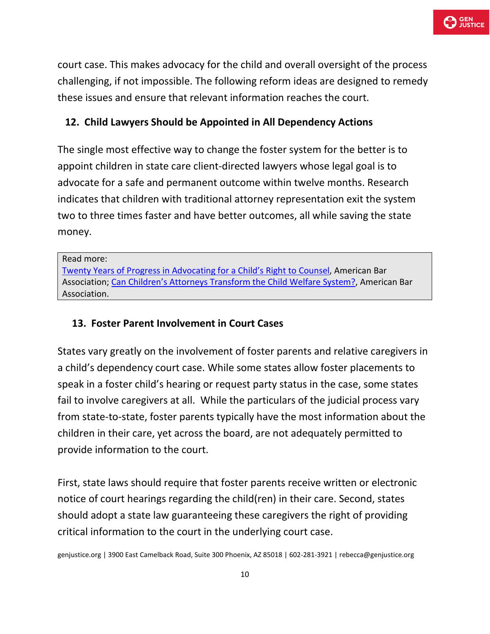

court case. This makes advocacy for the child and overall oversight of the process challenging, if not impossible. The following reform ideas are designed to remedy these issues and ensure that relevant information reaches the court.

# **12. Child Lawyers Should be Appointed in All Dependency Actions**

The single most effective way to change the foster system for the better is to appoint children in state care client-directed lawyers whose legal goal is to advocate for a safe and permanent outcome within twelve months. Research indicates that children with traditional attorney representation exit the system two to three times faster and have better outcomes, all while saving the state money.

#### Read more:

[Twenty Years of Progress in Advocating for a Child's Right to Counsel,](https://www.americanbar.org/groups/litigation/committees/childrens-rights/articles/2019/spring2019-twenty-years-of-progress-in-advocating-for-a-childs-right-to-counsel/) American Bar Association; [Can Children's Attorneys Transform the Child Welfare System?,](https://www.americanbar.org/groups/litigation/committees/childrens-rights/articles/2019/winter2019-can-childrens-attorneys-transform-the-child-welfare-system/) American Bar Association.

### **13. Foster Parent Involvement in Court Cases**

States vary greatly on the involvement of foster parents and relative caregivers in a child's dependency court case. While some states allow foster placements to speak in a foster child's hearing or request party status in the case, some states fail to involve caregivers at all. While the particulars of the judicial process vary from state-to-state, foster parents typically have the most information about the children in their care, yet across the board, are not adequately permitted to provide information to the court.

First, state laws should require that foster parents receive written or electronic notice of court hearings regarding the child(ren) in their care. Second, states should adopt a state law guaranteeing these caregivers the right of providing critical information to the court in the underlying court case.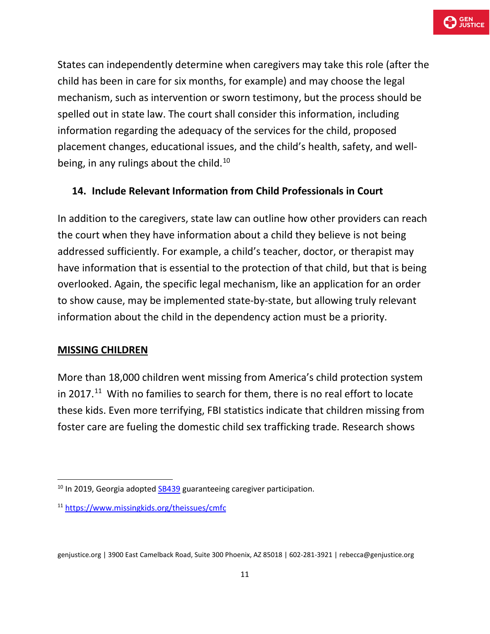States can independently determine when caregivers may take this role (after the child has been in care for six months, for example) and may choose the legal mechanism, such as intervention or sworn testimony, but the process should be spelled out in state law. The court shall consider this information, including information regarding the adequacy of the services for the child, proposed placement changes, educational issues, and the child's health, safety, and well-being, in any rulings about the child.<sup>[10](#page-10-0)</sup>

# **14. Include Relevant Information from Child Professionals in Court**

In addition to the caregivers, state law can outline how other providers can reach the court when they have information about a child they believe is not being addressed sufficiently. For example, a child's teacher, doctor, or therapist may have information that is essential to the protection of that child, but that is being overlooked. Again, the specific legal mechanism, like an application for an order to show cause, may be implemented state-by-state, but allowing truly relevant information about the child in the dependency action must be a priority.

### **MISSING CHILDREN**

More than 18,000 children went missing from America's child protection system in 2017. $11$  With no families to search for them, there is no real effort to locate these kids. Even more terrifying, FBI statistics indicate that children missing from foster care are fueling the domestic child sex trafficking trade. Research shows

<span id="page-10-0"></span> $10$  In 2019, Georgia adopte[d SB439](http://www.legis.ga.gov/Legislation/20192020/194467.pdf) guaranteeing caregiver participation.

<span id="page-10-1"></span><sup>11</sup> <https://www.missingkids.org/theissues/cmfc>

genjustice.org | 3900 East Camelback Road, Suite 300 Phoenix, AZ 85018 | 602-281-3921 | rebecca@genjustice.org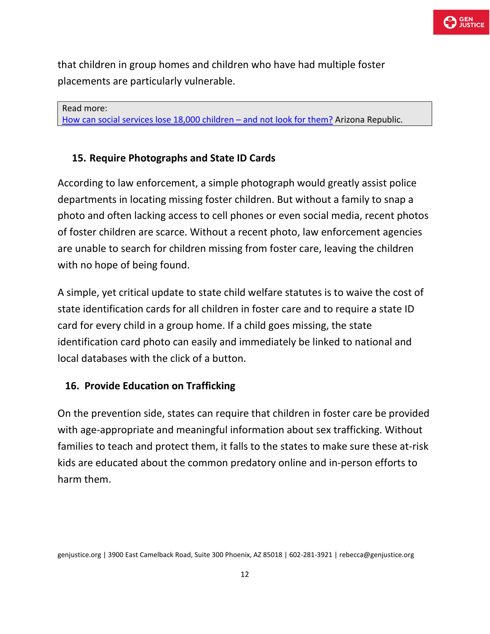that children in group homes and children who have had multiple foster placements are particularly vulnerable.

Read more: [How can social services lose 18,000 children –](https://www.azcentral.com/story/opinion/op-ed/2019/01/31/sex-trafficking-victims-children-state-care-missing/2730139002/) [and not look for them?](https://www.azcentral.com/story/opinion/op-ed/2019/01/31/sex-trafficking-victims-children-state-care-missing/2730139002/) Arizona Republic.

# **15. Require Photographs and State ID Cards**

According to law enforcement, a simple photograph would greatly assist police departments in locating missing foster children. But without a family to snap a photo and often lacking access to cell phones or even social media, recent photos of foster children are scarce. Without a recent photo, law enforcement agencies are unable to search for children missing from foster care, leaving the children with no hope of being found.

A simple, yet critical update to state child welfare statutes is to waive the cost of state identification cards for all children in foster care and to require a state ID card for every child in a group home. If a child goes missing, the state identification card photo can easily and immediately be linked to national and local databases with the click of a button.

### **16. Provide Education on Trafficking**

On the prevention side, states can require that children in foster care be provided with age-appropriate and meaningful information about sex trafficking. Without families to teach and protect them, it falls to the states to make sure these at-risk kids are educated about the common predatory online and in-person efforts to harm them.

genjustice.org | 3900 East Camelback Road, Suite 300 Phoenix, AZ 85018 | 602-281-3921 | rebecca@genjustice.org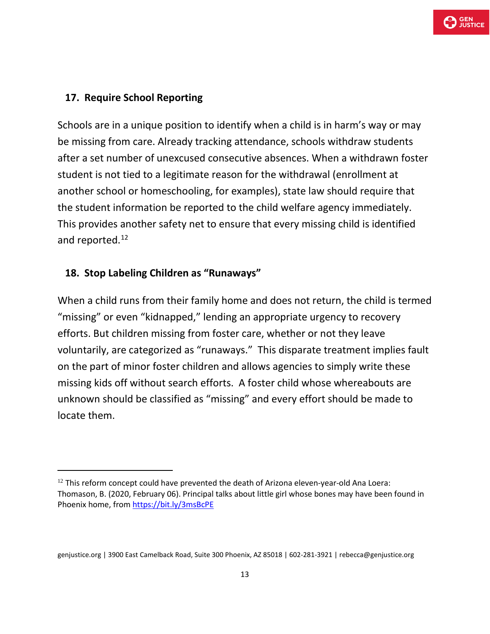### **17. Require School Reporting**

Schools are in a unique position to identify when a child is in harm's way or may be missing from care. Already tracking attendance, schools withdraw students after a set number of unexcused consecutive absences. When a withdrawn foster student is not tied to a legitimate reason for the withdrawal (enrollment at another school or homeschooling, for examples), state law should require that the student information be reported to the child welfare agency immediately. This provides another safety net to ensure that every missing child is identified and reported.<sup>[12](#page-12-0)</sup>

#### **18. Stop Labeling Children as "Runaways"**

When a child runs from their family home and does not return, the child is termed "missing" or even "kidnapped," lending an appropriate urgency to recovery efforts. But children missing from foster care, whether or not they leave voluntarily, are categorized as "runaways." This disparate treatment implies fault on the part of minor foster children and allows agencies to simply write these missing kids off without search efforts. A foster child whose whereabouts are unknown should be classified as "missing" and every effort should be made to locate them.

<span id="page-12-0"></span> $12$  This reform concept could have prevented the death of Arizona eleven-year-old Ana Loera: Thomason, B. (2020, February 06). Principal talks about little girl whose bones may have been found in Phoenix home, fro[m https://bit.ly/3msBcPE](https://bit.ly/3msBcPE)

genjustice.org | 3900 East Camelback Road, Suite 300 Phoenix, AZ 85018 | 602-281-3921 | rebecca@genjustice.org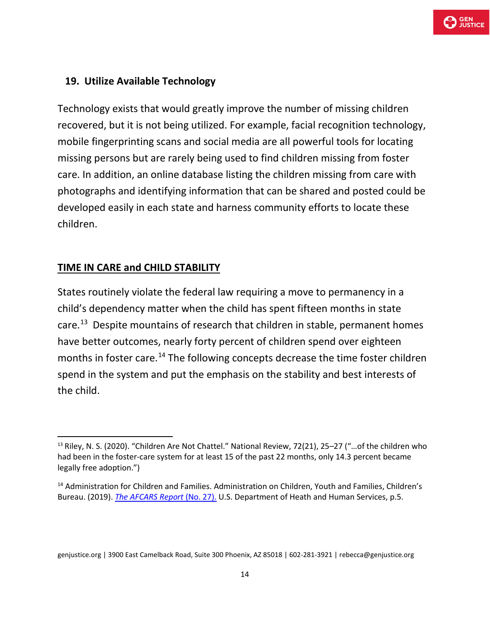

#### **19. Utilize Available Technology**

Technology exists that would greatly improve the number of missing children recovered, but it is not being utilized. For example, facial recognition technology, mobile fingerprinting scans and social media are all powerful tools for locating missing persons but are rarely being used to find children missing from foster care. In addition, an online database listing the children missing from care with photographs and identifying information that can be shared and posted could be developed easily in each state and harness community efforts to locate these children.

#### **TIME IN CARE and CHILD STABILITY**

States routinely violate the federal law requiring a move to permanency in a child's dependency matter when the child has spent fifteen months in state care.<sup>13</sup> Despite mountains of research that children in stable, permanent homes have better outcomes, nearly forty percent of children spend over eighteen months in foster care.<sup>[14](#page-13-1)</sup> The following concepts decrease the time foster children spend in the system and put the emphasis on the stability and best interests of the child.

<span id="page-13-0"></span><sup>&</sup>lt;sup>13</sup> Riley, N. S. (2020). "Children Are Not Chattel." National Review, 72(21), 25–27 ("...of the children who had been in the foster-care system for at least 15 of the past 22 months, only 14.3 percent became legally free adoption.")

<span id="page-13-1"></span><sup>&</sup>lt;sup>14</sup> Administration for Children and Families. Administration on Children, Youth and Families, Children's Bureau. (2019). *[The AFCARS Report](https://www.acf.hhs.gov/sites/default/files/cb/afcarsreport27.pdf)* (No. 27). U.S. Department of Heath and Human Services, p.5.

genjustice.org | 3900 East Camelback Road, Suite 300 Phoenix, AZ 85018 | 602-281-3921 | rebecca@genjustice.org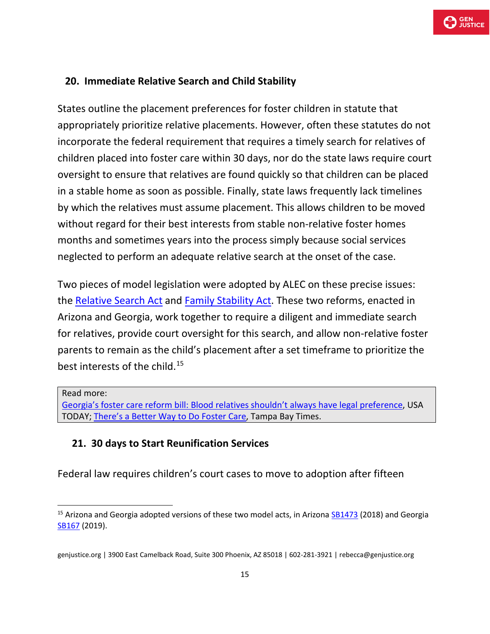# **20. Immediate Relative Search and Child Stability**

States outline the placement preferences for foster children in statute that appropriately prioritize relative placements. However, often these statutes do not incorporate the federal requirement that requires a timely search for relatives of children placed into foster care within 30 days, nor do the state laws require court oversight to ensure that relatives are found quickly so that children can be placed in a stable home as soon as possible. Finally, state laws frequently lack timelines by which the relatives must assume placement. This allows children to be moved without regard for their best interests from stable non-relative foster homes months and sometimes years into the process simply because social services neglected to perform an adequate relative search at the onset of the case.

Two pieces of model legislation were adopted by ALEC on these precise issues: the [Relative Search Act](https://www.alec.org/model-policy/relative-search-act/) and [Family Stability Act.](https://www.alec.org/model-policy/family-stability-act/) These two reforms, enacted in Arizona and Georgia, work together to require a diligent and immediate search for relatives, provide court oversight for this search, and allow non-relative foster parents to remain as the child's placement after a set timeframe to prioritize the best interests of the child.[15](#page-14-0)

#### Read more:

[Georgia's foster care reform bill: Blood relatives shouldn't always have legal preference,](https://www.usatoday.com/story/opinion/2019/05/20/georgia-foster-reform-kinship-preference-blood-relative-limits-children-column/3733367002/) USA TODAY; [There's a Better Way to Do Foster Care,](https://www.tampabay.com/opinion/2020/07/03/theres-a-better-way-to-do-foster-care-column/) Tampa Bay Times.

### **21. 30 days to Start Reunification Services**

Federal law requires children's court cases to move to adoption after fifteen

<span id="page-14-0"></span><sup>&</sup>lt;sup>15</sup> Arizona and Georgia adopted versions of these two model acts, in Arizona [SB1473](https://legiscan.com/AZ/text/SB1473/id/1770264) (2018) and Georgia SB<sub>167</sub> (2019).

genjustice.org | 3900 East Camelback Road, Suite 300 Phoenix, AZ 85018 | 602-281-3921 | rebecca@genjustice.org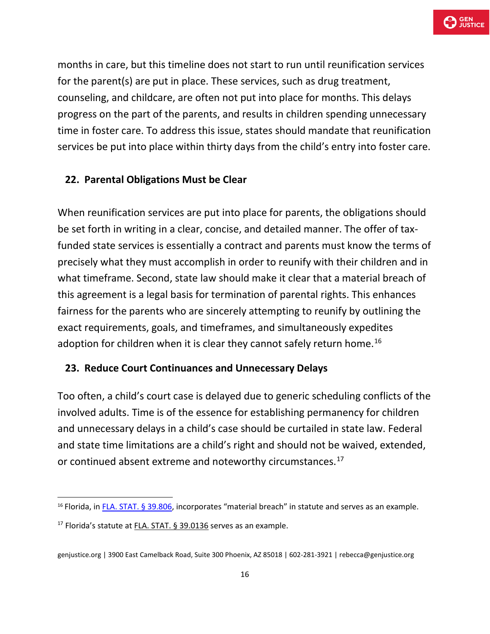

months in care, but this timeline does not start to run until reunification services for the parent(s) are put in place. These services, such as drug treatment, counseling, and childcare, are often not put into place for months. This delays progress on the part of the parents, and results in children spending unnecessary time in foster care. To address this issue, states should mandate that reunification services be put into place within thirty days from the child's entry into foster care.

#### **22. Parental Obligations Must be Clear**

When reunification services are put into place for parents, the obligations should be set forth in writing in a clear, concise, and detailed manner. The offer of taxfunded state services is essentially a contract and parents must know the terms of precisely what they must accomplish in order to reunify with their children and in what timeframe. Second, state law should make it clear that a material breach of this agreement is a legal basis for termination of parental rights. This enhances fairness for the parents who are sincerely attempting to reunify by outlining the exact requirements, goals, and timeframes, and simultaneously expedites adoption for children when it is clear they cannot safely return home.<sup>[16](#page-15-0)</sup>

#### **23. Reduce Court Continuances and Unnecessary Delays**

Too often, a child's court case is delayed due to generic scheduling conflicts of the involved adults. Time is of the essence for establishing permanency for children and unnecessary delays in a child's case should be curtailed in state law. Federal and state time limitations are a child's right and should not be waived, extended, or continued absent extreme and noteworthy circumstances.<sup>[17](#page-15-1)</sup>

<span id="page-15-0"></span><sup>&</sup>lt;sup>16</sup> Florida, i[n FLA. STAT. §](https://m.flsenate.gov/Statutes/39.806) 39.806, incorporates "material breach" in statute and serves as an example.

<span id="page-15-1"></span><sup>&</sup>lt;sup>17</sup> Florida's statute at FLA. [STAT. § 39.0136](https://m.flsenate.gov/Statutes/39.0136) serves as an example.

genjustice.org | 3900 East Camelback Road, Suite 300 Phoenix, AZ 85018 | 602-281-3921 | rebecca@genjustice.org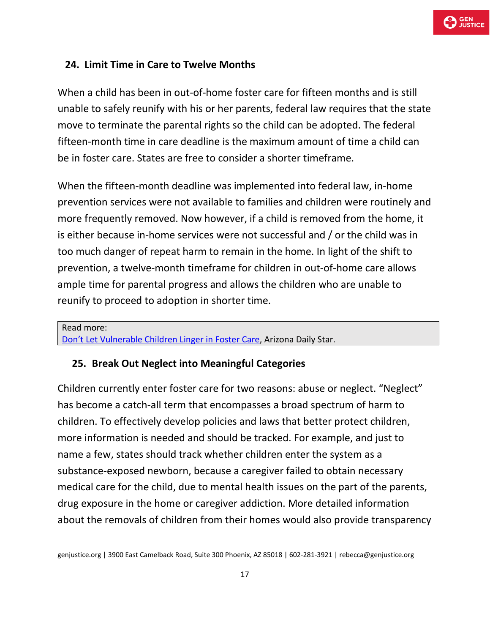

#### **24. Limit Time in Care to Twelve Months**

When a child has been in out-of-home foster care for fifteen months and is still unable to safely reunify with his or her parents, federal law requires that the state move to terminate the parental rights so the child can be adopted. The federal fifteen-month time in care deadline is the maximum amount of time a child can be in foster care. States are free to consider a shorter timeframe.

When the fifteen-month deadline was implemented into federal law, in-home prevention services were not available to families and children were routinely and more frequently removed. Now however, if a child is removed from the home, it is either because in-home services were not successful and / or the child was in too much danger of repeat harm to remain in the home. In light of the shift to prevention, a twelve-month timeframe for children in out-of-home care allows ample time for parental progress and allows the children who are unable to reunify to proceed to adoption in shorter time.

Read more: [Don't Let Vulnerable Children Linger in Foster Care,](https://tucson.com/opinion/local/darcy-olsen-don-t-let-vulnerable-children-linger-in-foster/article_d8348d67-633d-57ec-9546-aa832fcc9cd8.html) Arizona Daily Star.

#### **25. Break Out Neglect into Meaningful Categories**

Children currently enter foster care for two reasons: abuse or neglect. "Neglect" has become a catch-all term that encompasses a broad spectrum of harm to children. To effectively develop policies and laws that better protect children, more information is needed and should be tracked. For example, and just to name a few, states should track whether children enter the system as a substance-exposed newborn, because a caregiver failed to obtain necessary medical care for the child, due to mental health issues on the part of the parents, drug exposure in the home or caregiver addiction. More detailed information about the removals of children from their homes would also provide transparency

genjustice.org | 3900 East Camelback Road, Suite 300 Phoenix, AZ 85018 | 602-281-3921 | rebecca@genjustice.org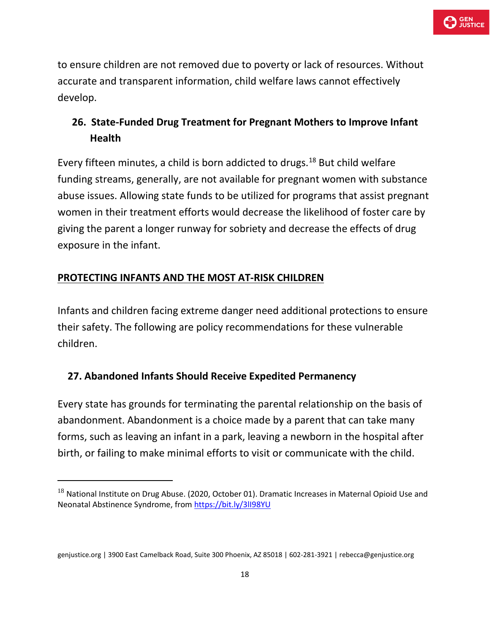to ensure children are not removed due to poverty or lack of resources. Without accurate and transparent information, child welfare laws cannot effectively develop.

# **26. State-Funded Drug Treatment for Pregnant Mothers to Improve Infant Health**

Every fifteen minutes, a child is born addicted to drugs.<sup>[18](#page-17-0)</sup> But child welfare funding streams, generally, are not available for pregnant women with substance abuse issues. Allowing state funds to be utilized for programs that assist pregnant women in their treatment efforts would decrease the likelihood of foster care by giving the parent a longer runway for sobriety and decrease the effects of drug exposure in the infant.

# **PROTECTING INFANTS AND THE MOST AT-RISK CHILDREN**

Infants and children facing extreme danger need additional protections to ensure their safety. The following are policy recommendations for these vulnerable children.

# **27. Abandoned Infants Should Receive Expedited Permanency**

Every state has grounds for terminating the parental relationship on the basis of abandonment. Abandonment is a choice made by a parent that can take many forms, such as leaving an infant in a park, leaving a newborn in the hospital after birth, or failing to make minimal efforts to visit or communicate with the child.

<span id="page-17-0"></span> $^{18}$  National Institute on Drug Abuse. (2020, October 01). Dramatic Increases in Maternal Opioid Use and Neonatal Abstinence Syndrome, fro[m https://bit.ly/3lI98YU](https://bit.ly/3lI98YU) 

genjustice.org | 3900 East Camelback Road, Suite 300 Phoenix, AZ 85018 | 602-281-3921 | rebecca@genjustice.org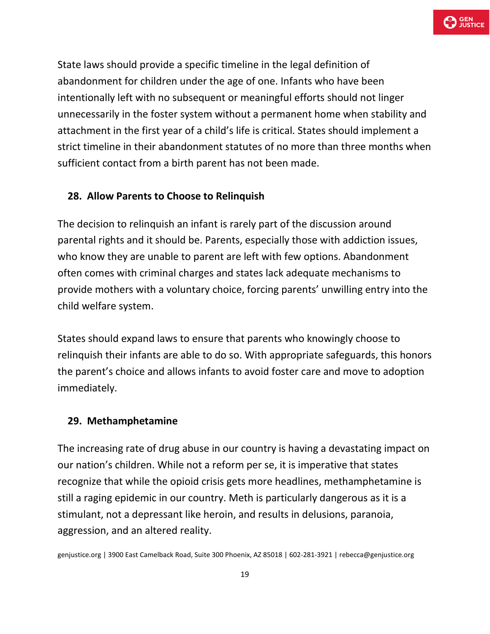

State laws should provide a specific timeline in the legal definition of abandonment for children under the age of one. Infants who have been intentionally left with no subsequent or meaningful efforts should not linger unnecessarily in the foster system without a permanent home when stability and attachment in the first year of a child's life is critical. States should implement a strict timeline in their abandonment statutes of no more than three months when sufficient contact from a birth parent has not been made.

#### **28. Allow Parents to Choose to Relinquish**

The decision to relinquish an infant is rarely part of the discussion around parental rights and it should be. Parents, especially those with addiction issues, who know they are unable to parent are left with few options. Abandonment often comes with criminal charges and states lack adequate mechanisms to provide mothers with a voluntary choice, forcing parents' unwilling entry into the child welfare system.

States should expand laws to ensure that parents who knowingly choose to relinquish their infants are able to do so. With appropriate safeguards, this honors the parent's choice and allows infants to avoid foster care and move to adoption immediately.

#### **29. Methamphetamine**

The increasing rate of drug abuse in our country is having a devastating impact on our nation's children. While not a reform per se, it is imperative that states recognize that while the opioid crisis gets more headlines, methamphetamine is still a raging epidemic in our country. Meth is particularly dangerous as it is a stimulant, not a depressant like heroin, and results in delusions, paranoia, aggression, and an altered reality.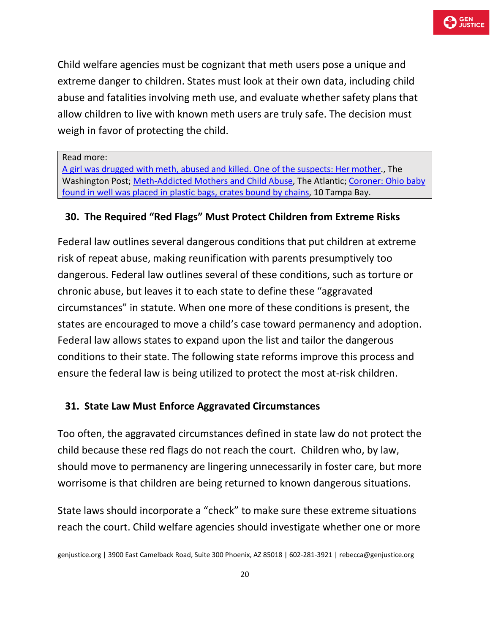

Child welfare agencies must be cognizant that meth users pose a unique and extreme danger to children. States must look at their own data, including child abuse and fatalities involving meth use, and evaluate whether safety plans that allow children to live with known meth users are truly safe. The decision must weigh in favor of protecting the child.

Read more:

[A girl was drugged with meth, abused and killed. One of the suspects: Her mother.](https://www.washingtonpost.com/news/true-crime/wp/2016/08/25/a-girl-was-drugged-with-meth-sexually-assaulted-and-killed-one-of-the-suspects-her-mother/), The Washington Post; [Meth-Addicted Mothers and Child Abuse,](https://www.theatlantic.com/video/index/568381/motherhood-meth/) The Atlantic; [Coroner: Ohio baby](https://www.wtsp.com/article/news/crime/coroner-scioto-county-baby-found-in-well/67-67255c18-ee0d-4123-ab6c-1ceeceb54220)  [found in well was placed in plastic bags, crates bound by chains,](https://www.wtsp.com/article/news/crime/coroner-scioto-county-baby-found-in-well/67-67255c18-ee0d-4123-ab6c-1ceeceb54220) 10 Tampa Bay.

# **30. The Required "Red Flags" Must Protect Children from Extreme Risks**

Federal law outlines several dangerous conditions that put children at extreme risk of repeat abuse, making reunification with parents presumptively too dangerous. Federal law outlines several of these conditions, such as torture or chronic abuse, but leaves it to each state to define these "aggravated circumstances" in statute. When one more of these conditions is present, the states are encouraged to move a child's case toward permanency and adoption. Federal law allows states to expand upon the list and tailor the dangerous conditions to their state. The following state reforms improve this process and ensure the federal law is being utilized to protect the most at-risk children.

### **31. State Law Must Enforce Aggravated Circumstances**

Too often, the aggravated circumstances defined in state law do not protect the child because these red flags do not reach the court. Children who, by law, should move to permanency are lingering unnecessarily in foster care, but more worrisome is that children are being returned to known dangerous situations.

State laws should incorporate a "check" to make sure these extreme situations reach the court. Child welfare agencies should investigate whether one or more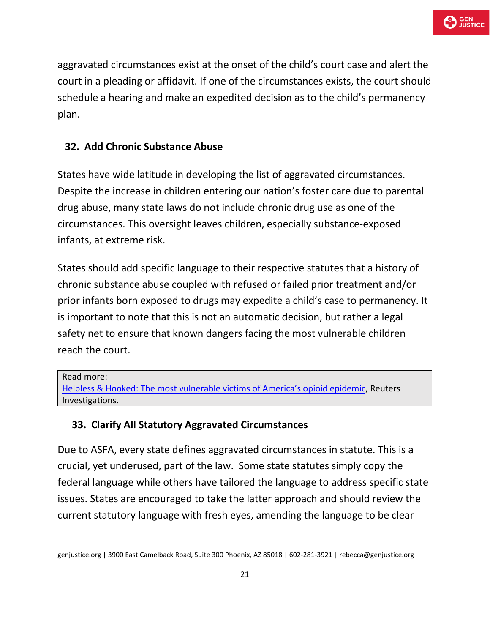aggravated circumstances exist at the onset of the child's court case and alert the court in a pleading or affidavit. If one of the circumstances exists, the court should schedule a hearing and make an expedited decision as to the child's permanency plan.

# **32. Add Chronic Substance Abuse**

States have wide latitude in developing the list of aggravated circumstances. Despite the increase in children entering our nation's foster care due to parental drug abuse, many state laws do not include chronic drug use as one of the circumstances. This oversight leaves children, especially substance-exposed infants, at extreme risk.

States should add specific language to their respective statutes that a history of chronic substance abuse coupled with refused or failed prior treatment and/or prior infants born exposed to drugs may expedite a child's case to permanency. It is important to note that this is not an automatic decision, but rather a legal safety net to ensure that known dangers facing the most vulnerable children reach the court.

Read more: [Helpless & Hooked: The most vulnerable victims of America's opioid epidemic,](https://www.reuters.com/investigates/special-report/baby-opioids/) Reuters Investigations.

# **33. Clarify All Statutory Aggravated Circumstances**

Due to ASFA, every state defines aggravated circumstances in statute. This is a crucial, yet underused, part of the law. Some state statutes simply copy the federal language while others have tailored the language to address specific state issues. States are encouraged to take the latter approach and should review the current statutory language with fresh eyes, amending the language to be clear

genjustice.org | 3900 East Camelback Road, Suite 300 Phoenix, AZ 85018 | 602-281-3921 | rebecca@genjustice.org